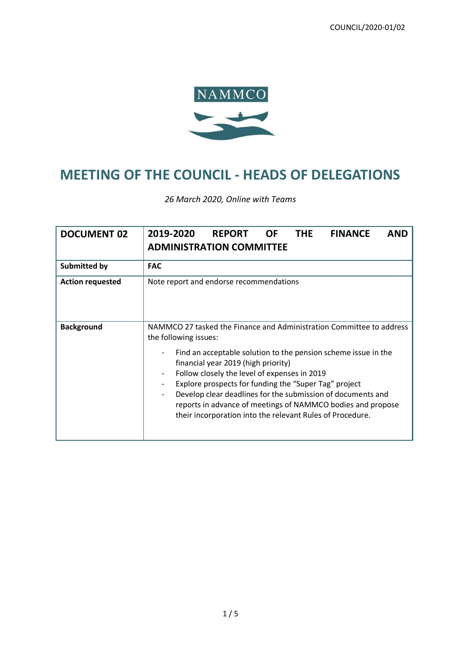

# **MEETING OF THE COUNCIL - HEADS OF DELEGATIONS**

*26 March 2020, Online with Teams*

| <b>DOCUMENT 02</b>      | 2019-2020<br><b>OF</b><br><b>THE</b><br><b>FINANCE</b><br><b>REPORT</b><br><b>AND</b><br><b>ADMINISTRATION COMMITTEE</b>                                                                                                                                                                                                                                                                                                                                                                                                                                           |
|-------------------------|--------------------------------------------------------------------------------------------------------------------------------------------------------------------------------------------------------------------------------------------------------------------------------------------------------------------------------------------------------------------------------------------------------------------------------------------------------------------------------------------------------------------------------------------------------------------|
| <b>Submitted by</b>     | <b>FAC</b>                                                                                                                                                                                                                                                                                                                                                                                                                                                                                                                                                         |
| <b>Action requested</b> | Note report and endorse recommendations                                                                                                                                                                                                                                                                                                                                                                                                                                                                                                                            |
| <b>Background</b>       | NAMMCO 27 tasked the Finance and Administration Committee to address<br>the following issues:<br>Find an acceptable solution to the pension scheme issue in the<br>financial year 2019 (high priority)<br>Follow closely the level of expenses in 2019<br>$\overline{\phantom{a}}$<br>Explore prospects for funding the "Super Tag" project<br>Develop clear deadlines for the submission of documents and<br>$\overline{\phantom{a}}$<br>reports in advance of meetings of NAMMCO bodies and propose<br>their incorporation into the relevant Rules of Procedure. |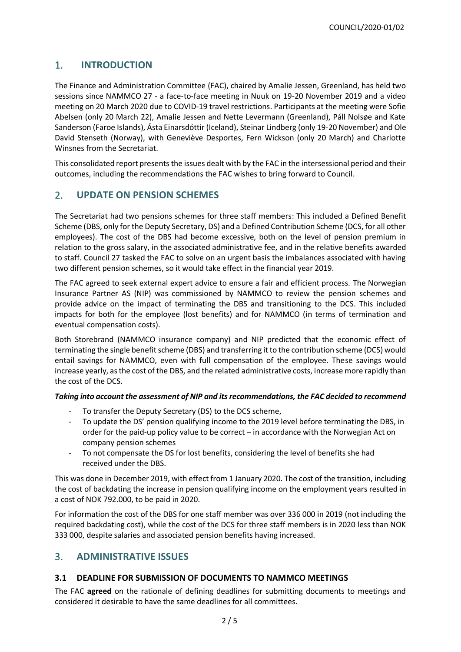# 1. **INTRODUCTION**

The Finance and Administration Committee (FAC), chaired by Amalie Jessen, Greenland, has held two sessions since NAMMCO 27 - a face-to-face meeting in Nuuk on 19-20 November 2019 and a video meeting on 20 March 2020 due to COVID-19 travel restrictions. Participants at the meeting were Sofie Abelsen (only 20 March 22), Amalie Jessen and Nette Levermann (Greenland), Páll Nolsøe and Kate Sanderson (Faroe Islands), Ásta Einarsdóttir (Iceland), Steinar Lindberg (only 19-20 November) and Ole David Stenseth (Norway), with Geneviève Desportes, Fern Wickson (only 20 March) and Charlotte Winsnes from the Secretariat.

This consolidated report presents the issues dealt with by the FAC in the intersessional period and their outcomes, including the recommendations the FAC wishes to bring forward to Council.

# 2. **UPDATE ON PENSION SCHEMES**

The Secretariat had two pensions schemes for three staff members: This included a Defined Benefit Scheme (DBS, only for the Deputy Secretary, DS) and a Defined Contribution Scheme (DCS, for all other employees). The cost of the DBS had become excessive, both on the level of pension premium in relation to the gross salary, in the associated administrative fee, and in the relative benefits awarded to staff. Council 27 tasked the FAC to solve on an urgent basis the imbalances associated with having two different pension schemes, so it would take effect in the financial year 2019.

The FAC agreed to seek external expert advice to ensure a fair and efficient process. The Norwegian Insurance Partner AS (NIP) was commissioned by NAMMCO to review the pension schemes and provide advice on the impact of terminating the DBS and transitioning to the DCS. This included impacts for both for the employee (lost benefits) and for NAMMCO (in terms of termination and eventual compensation costs).

Both Storebrand (NAMMCO insurance company) and NIP predicted that the economic effect of terminating the single benefit scheme (DBS) and transferring it to the contribution scheme (DCS) would entail savings for NAMMCO, even with full compensation of the employee. These savings would increase yearly, as the cost of the DBS, and the related administrative costs, increase more rapidly than the cost of the DCS.

#### *Taking into account the assessment of NIP and its recommendations, the FAC decided to recommend*

- To transfer the Deputy Secretary (DS) to the DCS scheme,
- To update the DS' pension qualifying income to the 2019 level before terminating the DBS, in order for the paid-up policy value to be correct – in accordance with the Norwegian Act on company pension schemes
- To not compensate the DS for lost benefits, considering the level of benefits she had received under the DBS.

This was done in December 2019, with effect from 1 January 2020. The cost of the transition, including the cost of backdating the increase in pension qualifying income on the employment years resulted in a cost of NOK 792.000, to be paid in 2020.

For information the cost of the DBS for one staff member was over 336 000 in 2019 (not including the required backdating cost), while the cost of the DCS for three staff members is in 2020 less than NOK 333 000, despite salaries and associated pension benefits having increased.

# 3. **ADMINISTRATIVE ISSUES**

#### **3.1 DEADLINE FOR SUBMISSION OF DOCUMENTS TO NAMMCO MEETINGS**

The FAC **agreed** on the rationale of defining deadlines for submitting documents to meetings and considered it desirable to have the same deadlines for all committees.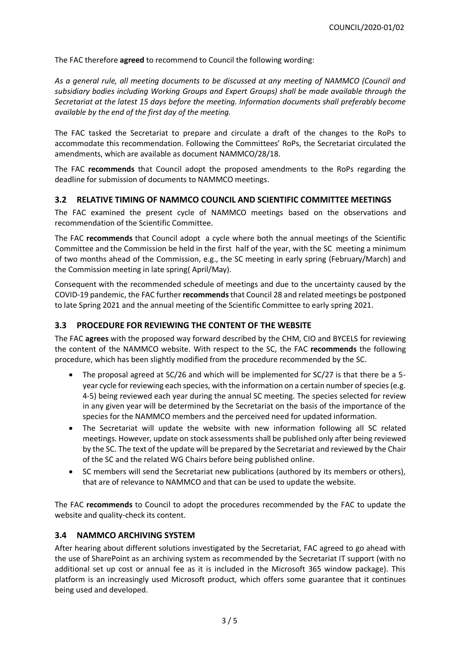The FAC therefore **agreed** to recommend to Council the following wording:

*As a general rule, all meeting documents to be discussed at any meeting of NAMMCO (Council and subsidiary bodies including Working Groups and Expert Groups) shall be made available through the Secretariat at the latest 15 days before the meeting. Information documents shall preferably become available by the end of the first day of the meeting.*

The FAC tasked the Secretariat to prepare and circulate a draft of the changes to the RoPs to accommodate this recommendation. Following the Committees' RoPs, the Secretariat circulated the amendments, which are available as document NAMMCO/28/18.

The FAC **recommends** that Council adopt the proposed amendments to the RoPs regarding the deadline for submission of documents to NAMMCO meetings.

#### **3.2 RELATIVE TIMING OF NAMMCO COUNCIL AND SCIENTIFIC COMMITTEE MEETINGS**

The FAC examined the present cycle of NAMMCO meetings based on the observations and recommendation of the Scientific Committee.

The FAC **recommends** that Council adopt a cycle where both the annual meetings of the Scientific Committee and the Commission be held in the first half of the year, with the SC meeting a minimum of two months ahead of the Commission, e.g., the SC meeting in early spring (February/March) and the Commission meeting in late spring( April/May).

Consequent with the recommended schedule of meetings and due to the uncertainty caused by the COVID-19 pandemic, the FAC further **recommends**that Council 28 and related meetings be postponed to late Spring 2021 and the annual meeting of the Scientific Committee to early spring 2021.

#### **3.3 PROCEDURE FOR REVIEWING THE CONTENT OF THE WEBSITE**

The FAC **agrees** with the proposed way forward described by the CHM, CIO and BYCELS for reviewing the content of the NAMMCO website. With respect to the SC, the FAC **recommends** the following procedure, which has been slightly modified from the procedure recommended by the SC.

- The proposal agreed at SC/26 and which will be implemented for SC/27 is that there be a 5 year cycle for reviewing each species, with the information on a certain number of species (e.g. 4-5) being reviewed each year during the annual SC meeting. The species selected for review in any given year will be determined by the Secretariat on the basis of the importance of the species for the NAMMCO members and the perceived need for updated information.
- The Secretariat will update the website with new information following all SC related meetings. However, update on stock assessments shall be published only after being reviewed by the SC. The text of the update will be prepared by the Secretariat and reviewed by the Chair of the SC and the related WG Chairs before being published online.
- SC members will send the Secretariat new publications (authored by its members or others), that are of relevance to NAMMCO and that can be used to update the website.

The FAC **recommends** to Council to adopt the procedures recommended by the FAC to update the website and quality-check its content.

#### **3.4 NAMMCO ARCHIVING SYSTEM**

After hearing about different solutions investigated by the Secretariat, FAC agreed to go ahead with the use of SharePoint as an archiving system as recommended by the Secretariat IT support (with no additional set up cost or annual fee as it is included in the Microsoft 365 window package). This platform is an increasingly used Microsoft product, which offers some guarantee that it continues being used and developed.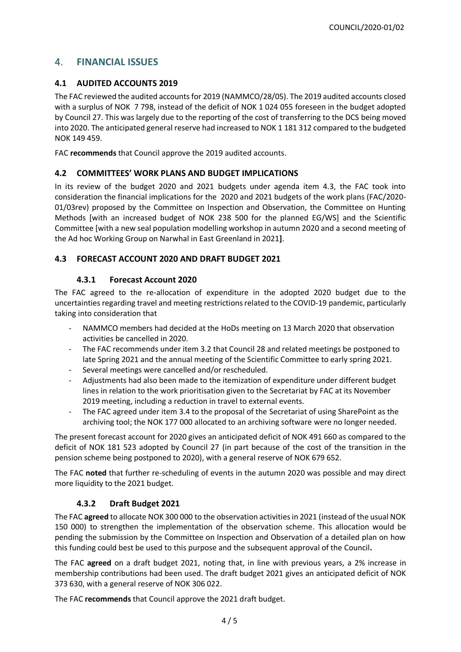# 4. **FINANCIAL ISSUES**

# **4.1 AUDITED ACCOUNTS 2019**

The FAC reviewed the audited accounts for 2019 (NAMMCO/28/05). The 2019 audited accounts closed with a surplus of NOK 7 798, instead of the deficit of NOK 1 024 055 foreseen in the budget adopted by Council 27. This was largely due to the reporting of the cost of transferring to the DCS being moved into 2020. The anticipated general reserve had increased to NOK 1 181 312 compared to the budgeted NOK 149 459.

FAC **recommends** that Council approve the 2019 audited accounts.

## **4.2 COMMITTEES' WORK PLANS AND BUDGET IMPLICATIONS**

In its review of the budget 2020 and 2021 budgets under agenda item 4.3, the FAC took into consideration the financial implications for the 2020 and 2021 budgets of the work plans (FAC/2020- 01/03rev) proposed by the Committee on Inspection and Observation, the Committee on Hunting Methods [with an increased budget of NOK 238 500 for the planned EG/WS] and the Scientific Committee [with a new seal population modelling workshop in autumn 2020 and a second meeting of the Ad hoc Working Group on Narwhal in East Greenland in 2021**]**.

## **4.3 FORECAST ACCOUNT 2020 AND DRAFT BUDGET 2021**

## **4.3.1 Forecast Account 2020**

The FAC agreed to the re-allocation of expenditure in the adopted 2020 budget due to the uncertainties regarding travel and meeting restrictions related to the COVID-19 pandemic, particularly taking into consideration that

- NAMMCO members had decided at the HoDs meeting on 13 March 2020 that observation activities be cancelled in 2020.
- The FAC recommends under item 3.2 that Council 28 and related meetings be postponed to late Spring 2021 and the annual meeting of the Scientific Committee to early spring 2021.
- Several meetings were cancelled and/or rescheduled.
- Adjustments had also been made to the itemization of expenditure under different budget lines in relation to the work prioritisation given to the Secretariat by FAC at its November 2019 meeting, including a reduction in travel to external events.
- The FAC agreed under item 3.4 to the proposal of the Secretariat of using SharePoint as the archiving tool; the NOK 177 000 allocated to an archiving software were no longer needed.

The present forecast account for 2020 gives an anticipated deficit of NOK 491 660 as compared to the deficit of NOK 181 523 adopted by Council 27 (in part because of the cost of the transition in the pension scheme being postponed to 2020), with a general reserve of NOK 679 652.

The FAC **noted** that further re-scheduling of events in the autumn 2020 was possible and may direct more liquidity to the 2021 budget.

# **4.3.2 Draft Budget 2021**

The FAC **agreed** to allocate NOK 300 000 to the observation activities in 2021 (instead of the usual NOK 150 000) to strengthen the implementation of the observation scheme. This allocation would be pending the submission by the Committee on Inspection and Observation of a detailed plan on how this funding could best be used to this purpose and the subsequent approval of the Council**.**

The FAC **agreed** on a draft budget 2021, noting that, in line with previous years, a 2% increase in membership contributions had been used. The draft budget 2021 gives an anticipated deficit of NOK 373 630, with a general reserve of NOK 306 022.

The FAC **recommends** that Council approve the 2021 draft budget.